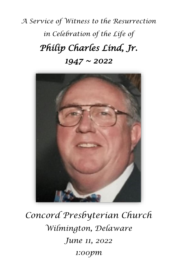## *A Service of Witness to the Resurrection in Celebration of the Life of Philip Charles Lind, Jr. 1947 ~ 2022*



## *Concord Presbyterian Church Wilmington, Delaware June 11, 2022 1:00pm*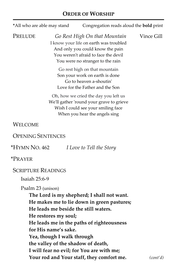## **ORDER OF WORSHIP**

| *All who are able may stand                |                                                                            | Congregation reads aloud the <b>bold</b> print                                                                                                                                                                                                                   |            |
|--------------------------------------------|----------------------------------------------------------------------------|------------------------------------------------------------------------------------------------------------------------------------------------------------------------------------------------------------------------------------------------------------------|------------|
| PRELUDE                                    |                                                                            | Go Rest High On that Mountain<br>I know your life on earth was troubled<br>And only you could know the pain<br>You weren't afraid to face the devil<br>You were no stranger to the rain                                                                          | Vince Gill |
|                                            |                                                                            | Go rest high on that mountain<br>Son your work on earth is done<br>Go to heaven a-shoutin'<br>Love for the Father and the Son                                                                                                                                    |            |
|                                            |                                                                            | Oh, how we cried the day you left us<br>We'll gather 'round your grave to grieve<br>Wish I could see your smiling face<br>When you hear the angels sing                                                                                                          |            |
| WELCOME                                    |                                                                            |                                                                                                                                                                                                                                                                  |            |
| <b>OPENING SENTENCES</b>                   |                                                                            |                                                                                                                                                                                                                                                                  |            |
| *HYMN NO. 462                              |                                                                            | I Love to Tell the Story                                                                                                                                                                                                                                         |            |
| <i>*Prayer</i>                             |                                                                            |                                                                                                                                                                                                                                                                  |            |
| <b>SCRIPTURE READINGS</b><br>Isaiah 25:6-9 |                                                                            |                                                                                                                                                                                                                                                                  |            |
| Psalm 23 (unison)                          | He restores my soul;<br>for His name's sake.<br>Yea, though I walk through | The Lord is my shepherd; I shall not want.<br>He makes me to lie down in green pastures;<br>He leads me beside the still waters.<br>He leads me in the paths of righteousness<br>the valley of the shadow of death,<br>I will fear no evil; for You are with me; |            |
|                                            |                                                                            | Your rod and Your staff, they comfort me.                                                                                                                                                                                                                        | (cont'd)   |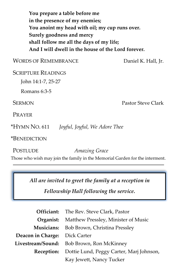**You prepare a table before me in the presence of my enemies; You anoint my head with oil; my cup runs over. Surely goodness and mercy shall follow me all the days of my life; And I will dwell in the house of the Lord forever.**

WORDS OF REMEMBRANCE Daniel K. Hall, Jr.

SCRIPTURE READINGS

John 14:1-7, 25-27

Romans 6:3-5

SERMON Pastor Steve Clark

PRAYER

\*HYMN NO. 611 *Joyful, Joyful, We Adore Thee*

\*BENEDICTION

POSTLUDE *Amazing Grace*

Those who wish may join the family in the Memorial Garden for the interment.

*All are invited to greet the family at a reception in* 

*Fellowship Hall following the service.*

|                               | <b>Officiant:</b> The Rev. Steve Clark, Pastor       |
|-------------------------------|------------------------------------------------------|
|                               | <b>Organist:</b> Matthew Pressley, Minister of Music |
|                               | Musicians: Bob Brown, Christina Pressley             |
| Deacon in Charge: Dick Carter |                                                      |
|                               | Livestream/Sound: Bob Brown, Ron McKinney            |
|                               | Reception: Dottie Lund, Peggy Carter, Marj Johnson,  |
|                               | Kay Jewett, Nancy Tucker                             |